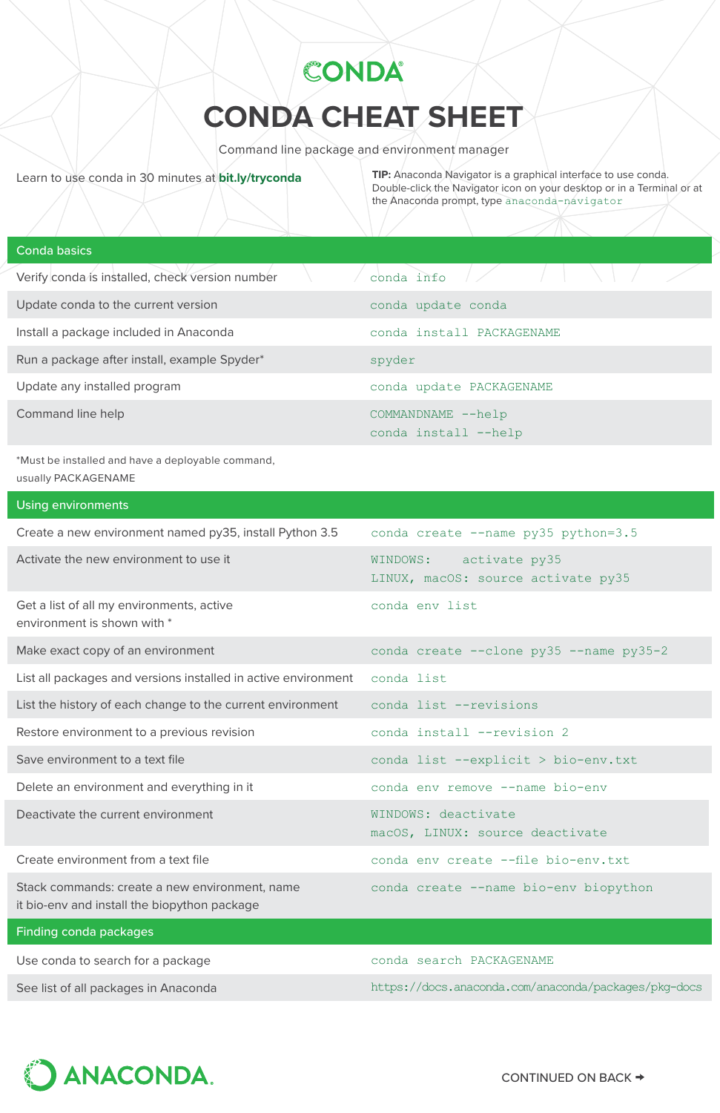# **CONDA CHEAT SHEET**

CONDA®

Command line package and environment manager

Learn to use conda in 30 minutes at **[bit.ly/tryconda](https://bit.ly/tryconda) TIP:** Anaconda Navigator is a graphical interface to use conda. Double-click the Navigator icon on your desktop or in a Terminal or at the Anaconda prompt, type anaconda-navigator

# Conda basics

| Verify conda is installed, check version number | conda info                                  |
|-------------------------------------------------|---------------------------------------------|
| Update conda to the current version             | conda update conda                          |
| Install a package included in Anaconda          | conda install PACKAGENAME                   |
| Run a package after install, example Spyder*    | spyder                                      |
| Update any installed program                    | conda update PACKAGENAME                    |
| Command line help                               | COMMANDNAME -- help<br>conda install --help |

\*Must be installed and have a deployable command, usually PACKAGENAME

#### Using environments

| Create a new environment named py35, install Python 3.5                                        | conda create --name py35 python=3.5                          |
|------------------------------------------------------------------------------------------------|--------------------------------------------------------------|
| Activate the new environment to use it                                                         | WINDOWS: activate py35<br>LINUX, macOS: source activate py35 |
| Get a list of all my environments, active<br>environment is shown with *                       | conda env list                                               |
| Make exact copy of an environment                                                              | conda create --clone py35 --name py35-2                      |
| List all packages and versions installed in active environment                                 | conda list                                                   |
| List the history of each change to the current environment                                     | conda list --revisions                                       |
| Restore environment to a previous revision                                                     | conda install --revision 2                                   |
| Save environment to a text file                                                                | conda list --explicit > bio-env.txt                          |
| Delete an environment and everything in it                                                     | conda env remove --name bio-env                              |
| Deactivate the current environment                                                             | WINDOWS: deactivate<br>macOS, LINUX: source deactivate       |
| Create environment from a text file                                                            | conda env create --file bio-env.txt                          |
| Stack commands: create a new environment, name<br>it bio-env and install the biopython package | conda create --name bio-env biopython                        |
| Finding conda packages                                                                         |                                                              |
| Use conda to search for a package                                                              | conda search PACKAGENAME                                     |
| See list of all packages in Anaconda                                                           | https://docs.anaconda.com/anaconda/packages/pkg-docs         |